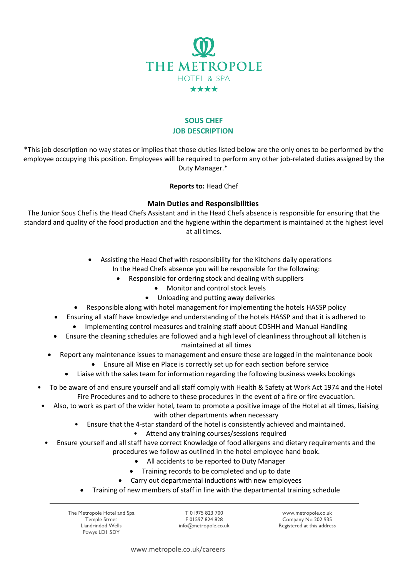

## **SOUS CHEF JOB DESCRIPTION**

\*This job description no way states or implies that those duties listed below are the only ones to be performed by the employee occupying this position. Employees will be required to perform any other job-related duties assigned by the Duty Manager.\*

## **Reports to:** Head Chef

## **Main Duties and Responsibilities**

The Junior Sous Chef is the Head Chefs Assistant and in the Head Chefs absence is responsible for ensuring that the standard and quality of the food production and the hygiene within the department is maintained at the highest level at all times.

- Assisting the Head Chef with responsibility for the Kitchens daily operations In the Head Chefs absence you will be responsible for the following:
	- Responsible for ordering stock and dealing with suppliers
		- Monitor and control stock levels
		- Unloading and putting away deliveries
- Responsible along with hotel management for implementing the hotels HASSP policy
- Ensuring all staff have knowledge and understanding of the hotels HASSP and that it is adhered to
	- Implementing control measures and training staff about COSHH and Manual Handling
- Ensure the cleaning schedules are followed and a high level of cleanliness throughout all kitchen is maintained at all times
- Report any maintenance issues to management and ensure these are logged in the maintenance book
	- Ensure all Mise en Place is correctly set up for each section before service
	- Liaise with the sales team for information regarding the following business weeks bookings
- To be aware of and ensure yourself and all staff comply with Health & Safety at Work Act 1974 and the Hotel Fire Procedures and to adhere to these procedures in the event of a fire or fire evacuation.
	- Also, to work as part of the wider hotel, team to promote a positive image of the Hotel at all times, liaising with other departments when necessary
		- Ensure that the 4-star standard of the hotel is consistently achieved and maintained.
			- Attend any training courses/sessions required
		- Ensure yourself and all staff have correct Knowledge of food allergens and dietary requirements and the procedures we follow as outlined in the hotel employee hand book.
			- All accidents to be reported to Duty Manager
			- Training records to be completed and up to date
			- Carry out departmental inductions with new employees
			- Training of new members of staff in line with the departmental training schedule

The Metropole Hotel and Spa Temple Street Llandrindod Wells Powys LD1 5DY

T 01975 823 700 F 01597 824 828 info@metropole.co.uk

www.metropole.co.uk Company No 202 935 Registered at this address

www.metropole.co.uk/careers